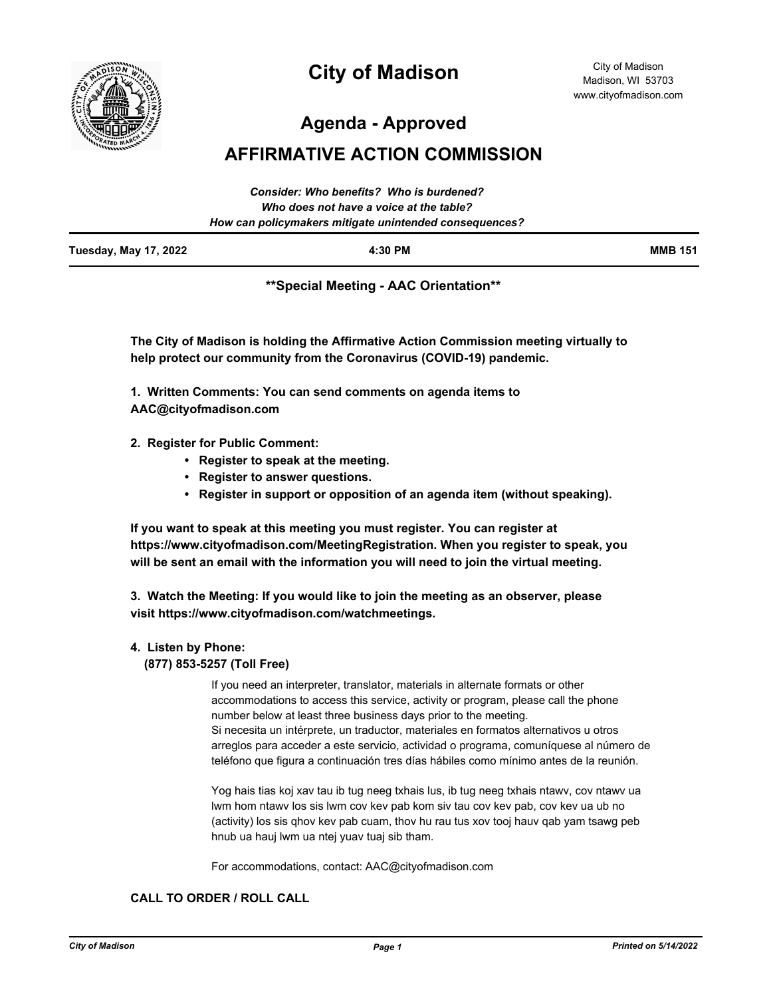

# **City of Madison**

City of Madison Madison, WI 53703 www.cityofmadison.com

**Agenda - Approved**

# **AFFIRMATIVE ACTION COMMISSION**

|                              | Consider: Who benefits? Who is burdened?<br>Who does not have a voice at the table? |                |
|------------------------------|-------------------------------------------------------------------------------------|----------------|
|                              |                                                                                     |                |
|                              | How can policymakers mitigate unintended consequences?                              |                |
| <b>Tuesday, May 17, 2022</b> | $4:30$ PM                                                                           | <b>MMB 151</b> |

**\*\*Special Meeting - AAC Orientation\*\***

**The City of Madison is holding the Affirmative Action Commission meeting virtually to help protect our community from the Coronavirus (COVID-19) pandemic.**

**1. Written Comments: You can send comments on agenda items to AAC@cityofmadison.com**

- **2. Register for Public Comment:** 
	- **Register to speak at the meeting.**
	- **Register to answer questions.**
	- **Register in support or opposition of an agenda item (without speaking).**

**If you want to speak at this meeting you must register. You can register at https://www.cityofmadison.com/MeetingRegistration. When you register to speak, you will be sent an email with the information you will need to join the virtual meeting.**

**3. Watch the Meeting: If you would like to join the meeting as an observer, please visit https://www.cityofmadison.com/watchmeetings.**

#### **4. Listen by Phone:**

 **(877) 853-5257 (Toll Free)**

If you need an interpreter, translator, materials in alternate formats or other accommodations to access this service, activity or program, please call the phone number below at least three business days prior to the meeting. Si necesita un intérprete, un traductor, materiales en formatos alternativos u otros arreglos para acceder a este servicio, actividad o programa, comuníquese al número de teléfono que figura a continuación tres días hábiles como mínimo antes de la reunión.

Yog hais tias koj xav tau ib tug neeg txhais lus, ib tug neeg txhais ntawv, cov ntawv ua lwm hom ntawv los sis lwm cov kev pab kom siv tau cov kev pab, cov kev ua ub no (activity) los sis qhov kev pab cuam, thov hu rau tus xov tooj hauv qab yam tsawg peb hnub ua hauj lwm ua ntej yuav tuaj sib tham.

For accommodations, contact: AAC@cityofmadison.com

### **CALL TO ORDER / ROLL CALL**